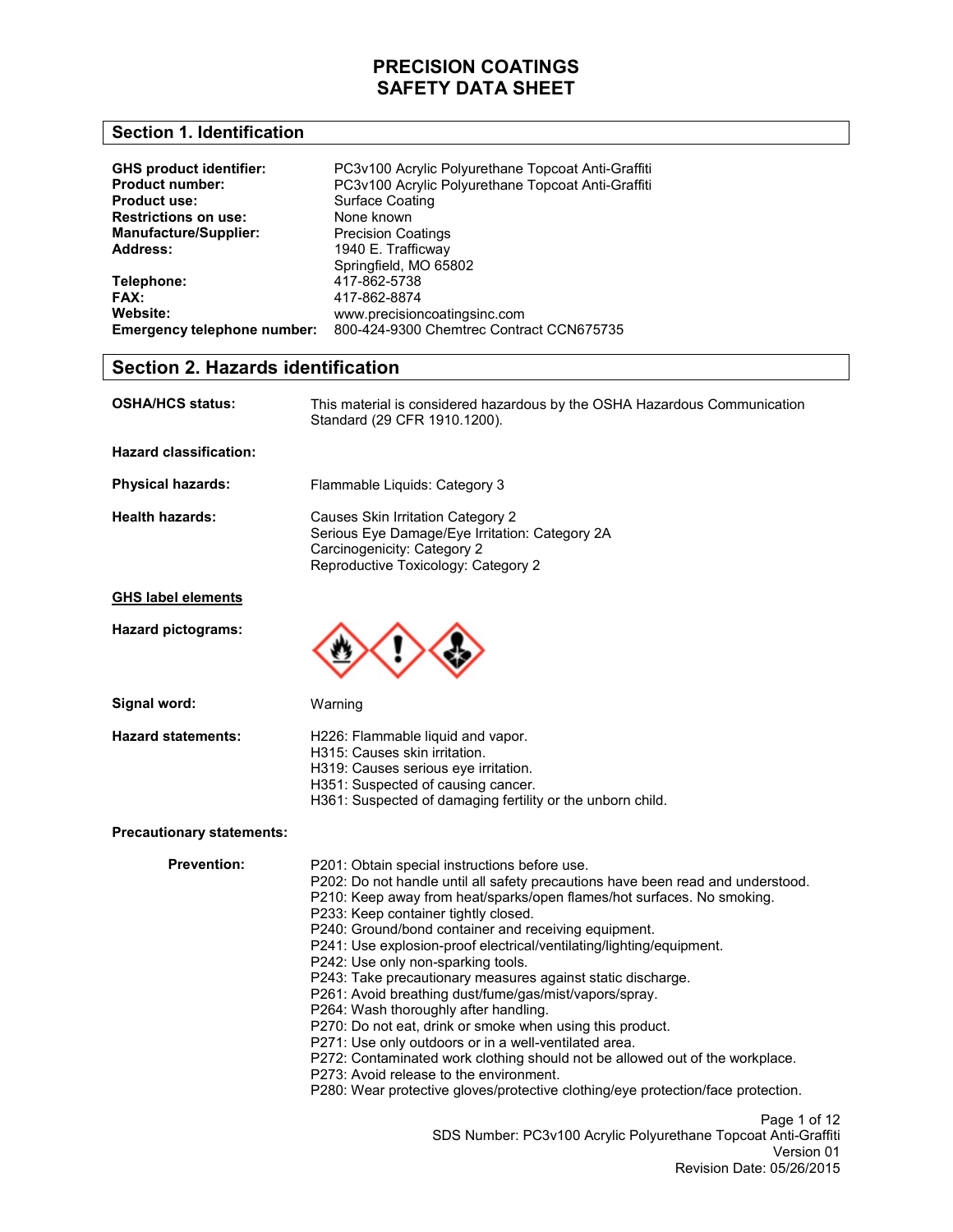#### **Section 1. Identification**

| <b>GHS product identifier:</b> | PC3v100 Acrylic Polyurethane Topcoat Anti-Graffiti |
|--------------------------------|----------------------------------------------------|
| <b>Product number:</b>         | PC3v100 Acrylic Polyurethane Topcoat Anti-Graffiti |
| <b>Product use:</b>            | Surface Coating                                    |
| <b>Restrictions on use:</b>    | None known                                         |
| <b>Manufacture/Supplier:</b>   | <b>Precision Coatings</b>                          |
| Address:                       | 1940 E. Trafficway                                 |
|                                | Springfield, MO 65802                              |
| Telephone:                     | 417-862-5738                                       |
| FAX:                           | 417-862-8874                                       |
| Website:                       | www.precisioncoatingsinc.com                       |
| Emergency telephone number:    | 800-424-9300 Chemtrec Contract CCN675735           |

#### **Section 2. Hazards identification**

| <b>OSHA/HCS status:</b>   | This material is considered hazardous by the OSHA Hazardous Communication<br>Standard (29 CFR 1910.1200).                                                 |
|---------------------------|-----------------------------------------------------------------------------------------------------------------------------------------------------------|
| Hazard classification:    |                                                                                                                                                           |
| <b>Physical hazards:</b>  | Flammable Liquids: Category 3                                                                                                                             |
| <b>Health hazards:</b>    | Causes Skin Irritation Category 2<br>Serious Eye Damage/Eye Irritation: Category 2A<br>Carcinogenicity: Category 2<br>Reproductive Toxicology: Category 2 |
| <b>GHS label elements</b> |                                                                                                                                                           |
| Hazard pictograms:        |                                                                                                                                                           |

**Signal word:**

Warning

**Hazard statements:** 

- H226: Flammable liquid and vapor. H315: Causes skin irritation.
- H319: Causes serious eye irritation.
- H351: Suspected of causing cancer.
- H361: Suspected of damaging fertility or the unborn child.

#### **Precautionary statements:**

**Prevention:** 

Page 1 of 12 SDS Number: PC3v100 Acrylic Polyurethane Topcoat Anti-Graffiti Version 01 Revision Date: 05/26/2015 P201: Obtain special instructions before use. P202: Do not handle until all safety precautions have been read and understood. P210: Keep away from heat/sparks/open flames/hot surfaces. No smoking. P233: Keep container tightly closed. P240: Ground/bond container and receiving equipment. P241: Use explosion-proof electrical/ventilating/lighting/equipment. P242: Use only non-sparking tools. P243: Take precautionary measures against static discharge. P261: Avoid breathing dust/fume/gas/mist/vapors/spray. P264: Wash thoroughly after handling. P270: Do not eat, drink or smoke when using this product. P271: Use only outdoors or in a well-ventilated area. P272: Contaminated work clothing should not be allowed out of the workplace. P273: Avoid release to the environment. P280: Wear protective gloves/protective clothing/eye protection/face protection.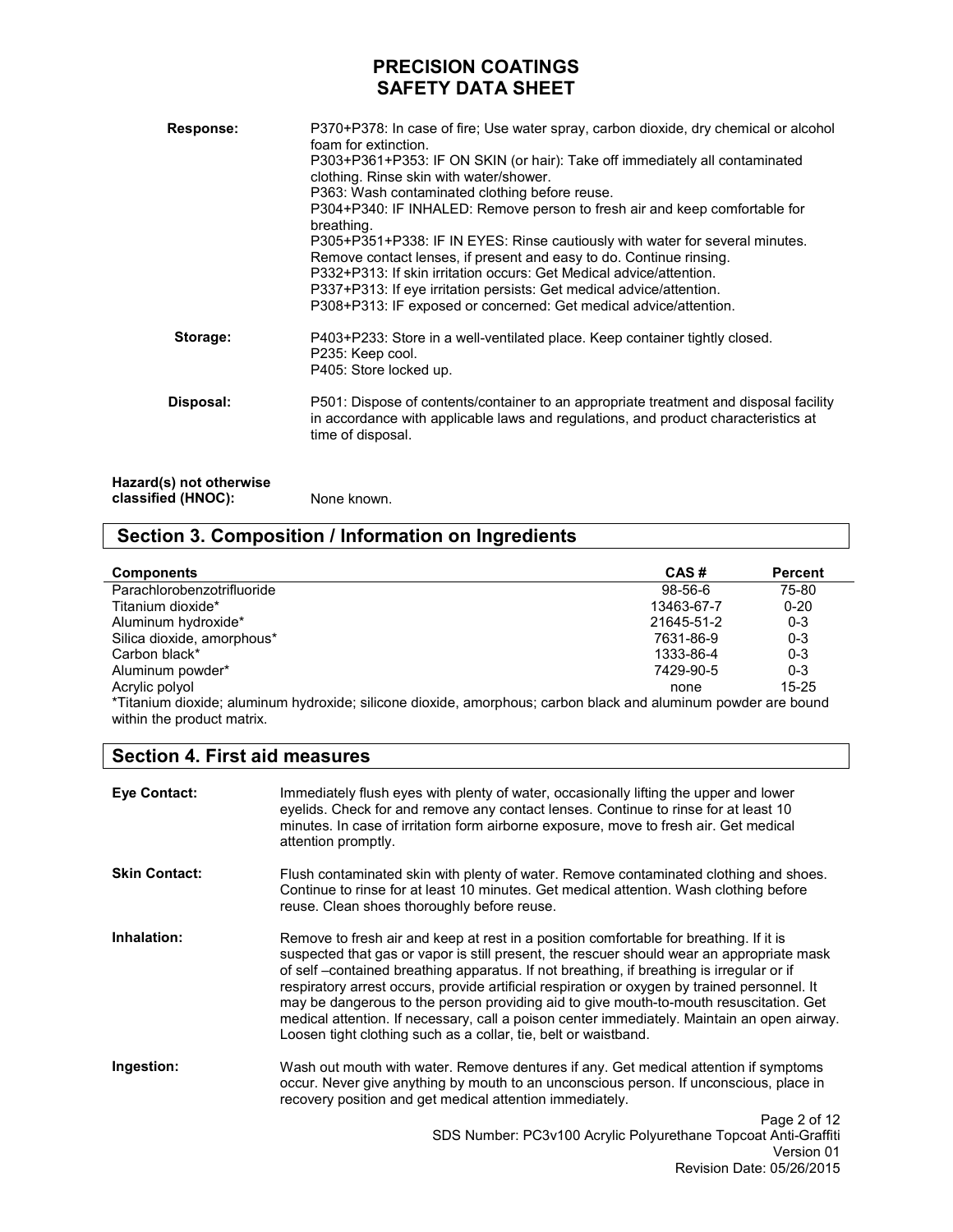| Response:                                     | P370+P378: In case of fire; Use water spray, carbon dioxide, dry chemical or alcohol<br>foam for extinction.<br>P303+P361+P353: IF ON SKIN (or hair): Take off immediately all contaminated<br>clothing. Rinse skin with water/shower.<br>P363: Wash contaminated clothing before reuse.<br>P304+P340: IF INHALED: Remove person to fresh air and keep comfortable for<br>breathing.<br>P305+P351+P338: IF IN EYES: Rinse cautiously with water for several minutes.<br>Remove contact lenses, if present and easy to do. Continue rinsing.<br>P332+P313: If skin irritation occurs: Get Medical advice/attention.<br>P337+P313: If eye irritation persists: Get medical advice/attention.<br>P308+P313: IF exposed or concerned: Get medical advice/attention. |
|-----------------------------------------------|-----------------------------------------------------------------------------------------------------------------------------------------------------------------------------------------------------------------------------------------------------------------------------------------------------------------------------------------------------------------------------------------------------------------------------------------------------------------------------------------------------------------------------------------------------------------------------------------------------------------------------------------------------------------------------------------------------------------------------------------------------------------|
| Storage:                                      | P403+P233: Store in a well-ventilated place. Keep container tightly closed.<br>P235: Keep cool.<br>P405: Store locked up.                                                                                                                                                                                                                                                                                                                                                                                                                                                                                                                                                                                                                                       |
| Disposal:                                     | P501: Dispose of contents/container to an appropriate treatment and disposal facility<br>in accordance with applicable laws and regulations, and product characteristics at<br>time of disposal.                                                                                                                                                                                                                                                                                                                                                                                                                                                                                                                                                                |
| Hazard(s) not otherwise<br>classified (HNOC): | None known.                                                                                                                                                                                                                                                                                                                                                                                                                                                                                                                                                                                                                                                                                                                                                     |

# **Section 3. Composition / Information on Ingredients**

| <b>Components</b>                                                                                              | CAS#       | <b>Percent</b> |
|----------------------------------------------------------------------------------------------------------------|------------|----------------|
| Parachlorobenzotrifluoride                                                                                     | 98-56-6    | 75-80          |
| Titanium dioxide*                                                                                              | 13463-67-7 | $0 - 20$       |
| Aluminum hydroxide*                                                                                            | 21645-51-2 | $0 - 3$        |
| Silica dioxide, amorphous*                                                                                     | 7631-86-9  | $0 - 3$        |
| Carbon black*                                                                                                  | 1333-86-4  | $0 - 3$        |
| Aluminum powder*                                                                                               | 7429-90-5  | $0 - 3$        |
| Acrylic polyol                                                                                                 | none       | $15 - 25$      |
| *Titanium dioxide; aluminum hydroxide; silicone dioxide, amorphous; carbon black and aluminum powder are bound |            |                |
| within the product matrix.                                                                                     |            |                |

### **Section 4. First aid measures**

| <b>Eye Contact:</b>  | Immediately flush eyes with plenty of water, occasionally lifting the upper and lower<br>eyelids. Check for and remove any contact lenses. Continue to rinse for at least 10<br>minutes. In case of irritation form airborne exposure, move to fresh air. Get medical<br>attention promptly.                                                                                                                                                                                                                                                                                                                                                |
|----------------------|---------------------------------------------------------------------------------------------------------------------------------------------------------------------------------------------------------------------------------------------------------------------------------------------------------------------------------------------------------------------------------------------------------------------------------------------------------------------------------------------------------------------------------------------------------------------------------------------------------------------------------------------|
| <b>Skin Contact:</b> | Flush contaminated skin with plenty of water. Remove contaminated clothing and shoes.<br>Continue to rinse for at least 10 minutes. Get medical attention. Wash clothing before<br>reuse. Clean shoes thoroughly before reuse.                                                                                                                                                                                                                                                                                                                                                                                                              |
| Inhalation:          | Remove to fresh air and keep at rest in a position comfortable for breathing. If it is<br>suspected that gas or vapor is still present, the rescuer should wear an appropriate mask<br>of self-contained breathing apparatus. If not breathing, if breathing is irregular or if<br>respiratory arrest occurs, provide artificial respiration or oxygen by trained personnel. It<br>may be dangerous to the person providing aid to give mouth-to-mouth resuscitation. Get<br>medical attention. If necessary, call a poison center immediately. Maintain an open airway.<br>Loosen tight clothing such as a collar, tie, belt or waistband. |
| Ingestion:           | Wash out mouth with water. Remove dentures if any. Get medical attention if symptoms<br>occur. Never give anything by mouth to an unconscious person. If unconscious, place in<br>recovery position and get medical attention immediately.                                                                                                                                                                                                                                                                                                                                                                                                  |
|                      | Page 2 of 12<br>SDS Number: PC3v100 Acrylic Polyurethane Topcoat Anti-Graffiti<br>Version 01                                                                                                                                                                                                                                                                                                                                                                                                                                                                                                                                                |

Revision Date: 05/26/2015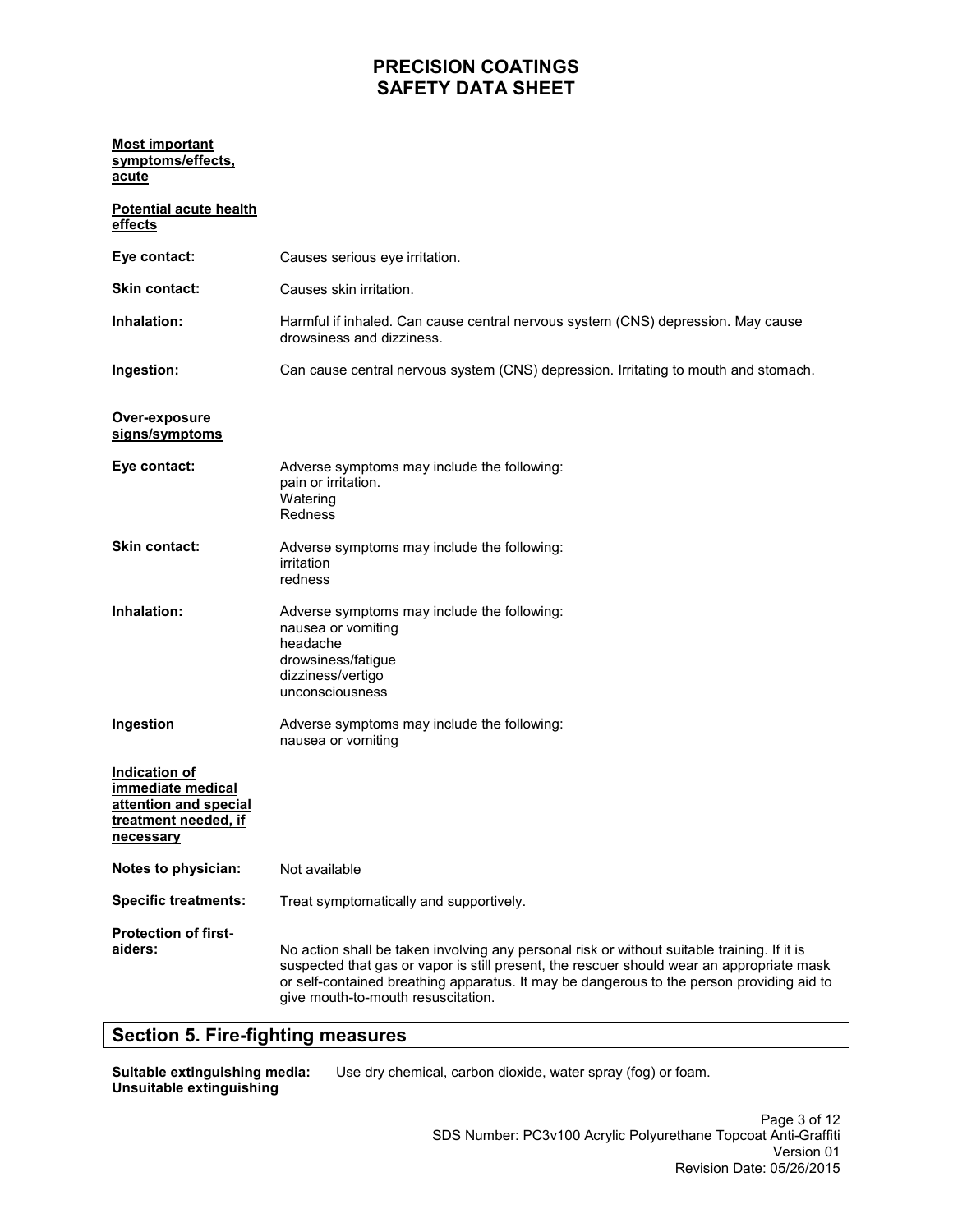#### **Most important symptoms/effects, acute**

| <b>Potential acute health</b><br>effects                                                         |                                                                                                                                                                                                                                                                                                                             |
|--------------------------------------------------------------------------------------------------|-----------------------------------------------------------------------------------------------------------------------------------------------------------------------------------------------------------------------------------------------------------------------------------------------------------------------------|
| Eye contact:                                                                                     | Causes serious eye irritation.                                                                                                                                                                                                                                                                                              |
| <b>Skin contact:</b>                                                                             | Causes skin irritation.                                                                                                                                                                                                                                                                                                     |
| Inhalation:                                                                                      | Harmful if inhaled. Can cause central nervous system (CNS) depression. May cause<br>drowsiness and dizziness.                                                                                                                                                                                                               |
| Ingestion:                                                                                       | Can cause central nervous system (CNS) depression. Irritating to mouth and stomach.                                                                                                                                                                                                                                         |
| Over-exposure<br>signs/symptoms                                                                  |                                                                                                                                                                                                                                                                                                                             |
| Eye contact:                                                                                     | Adverse symptoms may include the following:<br>pain or irritation.<br>Watering<br>Redness                                                                                                                                                                                                                                   |
| <b>Skin contact:</b>                                                                             | Adverse symptoms may include the following:<br>irritation<br>redness                                                                                                                                                                                                                                                        |
| Inhalation:                                                                                      | Adverse symptoms may include the following:<br>nausea or vomiting<br>headache<br>drowsiness/fatigue<br>dizziness/vertigo<br>unconsciousness                                                                                                                                                                                 |
| Ingestion                                                                                        | Adverse symptoms may include the following:<br>nausea or vomiting                                                                                                                                                                                                                                                           |
| Indication of<br>immediate medical<br>attention and special<br>treatment needed, if<br>necessary |                                                                                                                                                                                                                                                                                                                             |
| Notes to physician:                                                                              | Not available                                                                                                                                                                                                                                                                                                               |
| <b>Specific treatments:</b>                                                                      | Treat symptomatically and supportively.                                                                                                                                                                                                                                                                                     |
| <b>Protection of first-</b><br>aiders:                                                           | No action shall be taken involving any personal risk or without suitable training. If it is<br>suspected that gas or vapor is still present, the rescuer should wear an appropriate mask<br>or self-contained breathing apparatus. It may be dangerous to the person providing aid to<br>give mouth-to-mouth resuscitation. |

### **Section 5. Fire-fighting measures**

**Suitable extinguishing media: Unsuitable extinguishing** 

Use dry chemical, carbon dioxide, water spray (fog) or foam.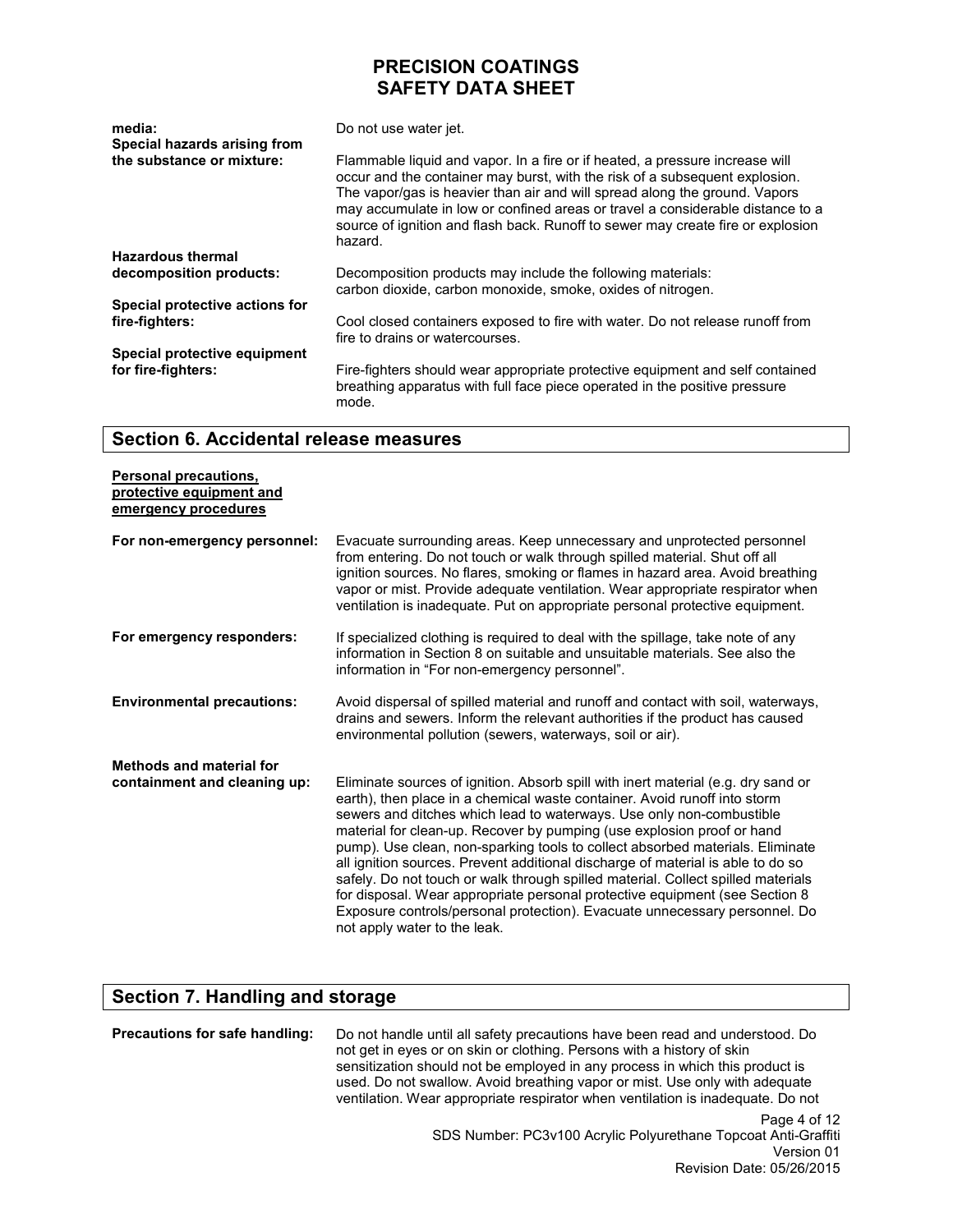| media:<br>Special hazards arising from | Do not use water jet.                                                                                                                                                                                                                                                                                                                                                                                                     |  |
|----------------------------------------|---------------------------------------------------------------------------------------------------------------------------------------------------------------------------------------------------------------------------------------------------------------------------------------------------------------------------------------------------------------------------------------------------------------------------|--|
| the substance or mixture:              | Flammable liquid and vapor. In a fire or if heated, a pressure increase will<br>occur and the container may burst, with the risk of a subsequent explosion.<br>The vapor/gas is heavier than air and will spread along the ground. Vapors<br>may accumulate in low or confined areas or travel a considerable distance to a<br>source of ignition and flash back. Runoff to sewer may create fire or explosion<br>hazard. |  |
| <b>Hazardous thermal</b>               |                                                                                                                                                                                                                                                                                                                                                                                                                           |  |
| decomposition products:                | Decomposition products may include the following materials:<br>carbon dioxide, carbon monoxide, smoke, oxides of nitrogen.                                                                                                                                                                                                                                                                                                |  |
| Special protective actions for         |                                                                                                                                                                                                                                                                                                                                                                                                                           |  |
| fire-fighters:                         | Cool closed containers exposed to fire with water. Do not release runoff from<br>fire to drains or watercourses.                                                                                                                                                                                                                                                                                                          |  |
| Special protective equipment           |                                                                                                                                                                                                                                                                                                                                                                                                                           |  |
| for fire-fighters:                     | Fire-fighters should wear appropriate protective equipment and self contained<br>breathing apparatus with full face piece operated in the positive pressure<br>mode.                                                                                                                                                                                                                                                      |  |

#### **Section 6. Accidental release measures**

| <b>Personal precautions,</b><br>protective equipment and<br>emergency procedures |                                                                                                                                                                                                                                                                                                                                                                                                                                                                                                                                                                                                                                                                                                                                                                       |
|----------------------------------------------------------------------------------|-----------------------------------------------------------------------------------------------------------------------------------------------------------------------------------------------------------------------------------------------------------------------------------------------------------------------------------------------------------------------------------------------------------------------------------------------------------------------------------------------------------------------------------------------------------------------------------------------------------------------------------------------------------------------------------------------------------------------------------------------------------------------|
| For non-emergency personnel:                                                     | Evacuate surrounding areas. Keep unnecessary and unprotected personnel<br>from entering. Do not touch or walk through spilled material. Shut off all<br>ignition sources. No flares, smoking or flames in hazard area. Avoid breathing<br>vapor or mist. Provide adequate ventilation. Wear appropriate respirator when<br>ventilation is inadequate. Put on appropriate personal protective equipment.                                                                                                                                                                                                                                                                                                                                                               |
| For emergency responders:                                                        | If specialized clothing is required to deal with the spillage, take note of any<br>information in Section 8 on suitable and unsuitable materials. See also the<br>information in "For non-emergency personnel".                                                                                                                                                                                                                                                                                                                                                                                                                                                                                                                                                       |
| <b>Environmental precautions:</b>                                                | Avoid dispersal of spilled material and runoff and contact with soil, waterways,<br>drains and sewers. Inform the relevant authorities if the product has caused<br>environmental pollution (sewers, waterways, soil or air).                                                                                                                                                                                                                                                                                                                                                                                                                                                                                                                                         |
| <b>Methods and material for</b><br>containment and cleaning up:                  | Eliminate sources of ignition. Absorb spill with inert material (e.g. dry sand or<br>earth), then place in a chemical waste container. Avoid runoff into storm<br>sewers and ditches which lead to waterways. Use only non-combustible<br>material for clean-up. Recover by pumping (use explosion proof or hand<br>pump). Use clean, non-sparking tools to collect absorbed materials. Eliminate<br>all ignition sources. Prevent additional discharge of material is able to do so<br>safely. Do not touch or walk through spilled material. Collect spilled materials<br>for disposal. Wear appropriate personal protective equipment (see Section 8<br>Exposure controls/personal protection). Evacuate unnecessary personnel. Do<br>not apply water to the leak. |

# **Section 7. Handling and storage**

**Precautions for safe handling:** Do not handle until all safety precautions have been read and understood. Do not get in eyes or on skin or clothing. Persons with a history of skin sensitization should not be employed in any process in which this product is used. Do not swallow. Avoid breathing vapor or mist. Use only with adequate ventilation. Wear appropriate respirator when ventilation is inadequate. Do not

Page 4 of 12 SDS Number: PC3v100 Acrylic Polyurethane Topcoat Anti-Graffiti Version 01 Revision Date: 05/26/2015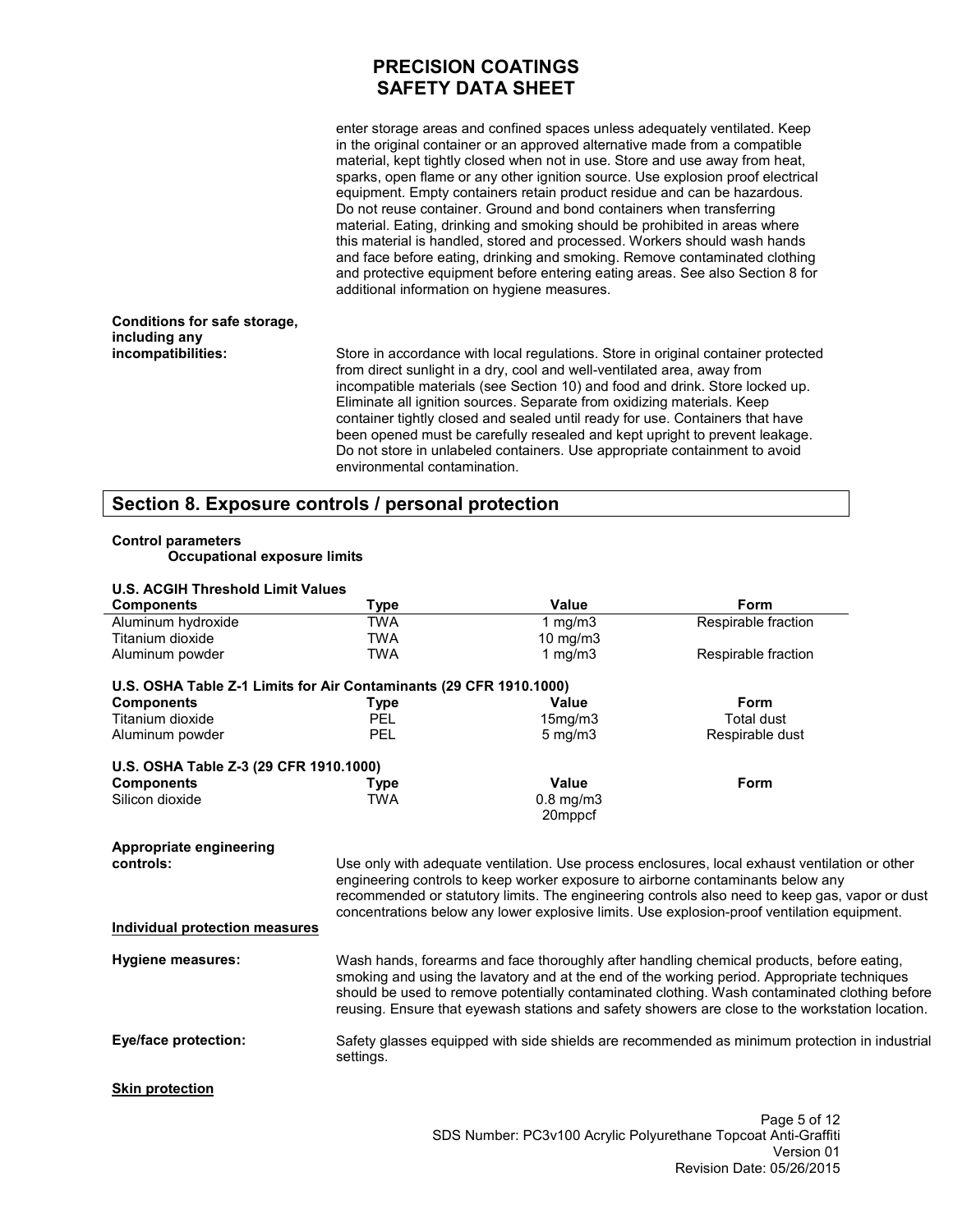enter storage areas and confined spaces unless adequately ventilated. Keep in the original container or an approved alternative made from a compatible material, kept tightly closed when not in use. Store and use away from heat, sparks, open flame or any other ignition source. Use explosion proof electrical equipment. Empty containers retain product residue and can be hazardous. Do not reuse container. Ground and bond containers when transferring material. Eating, drinking and smoking should be prohibited in areas where this material is handled, stored and processed. Workers should wash hands and face before eating, drinking and smoking. Remove contaminated clothing and protective equipment before entering eating areas. See also Section 8 for additional information on hygiene measures.

#### **Conditions for safe storage, including any incompatibilities:**

Store in accordance with local regulations. Store in original container protected from direct sunlight in a dry, cool and well-ventilated area, away from incompatible materials (see Section 10) and food and drink. Store locked up. Eliminate all ignition sources. Separate from oxidizing materials. Keep container tightly closed and sealed until ready for use. Containers that have been opened must be carefully resealed and kept upright to prevent leakage. Do not store in unlabeled containers. Use appropriate containment to avoid environmental contamination.

#### **Section 8. Exposure controls / personal protection**

#### **Control parameters**

**Occupational exposure limits** 

| <b>U.S. ACGIH Threshold Limit Values</b>                           |                                                                                                                                                                                                                                                                                                                                                                                              |                |                                                                                               |
|--------------------------------------------------------------------|----------------------------------------------------------------------------------------------------------------------------------------------------------------------------------------------------------------------------------------------------------------------------------------------------------------------------------------------------------------------------------------------|----------------|-----------------------------------------------------------------------------------------------|
| <b>Components</b>                                                  | <b>Type</b>                                                                                                                                                                                                                                                                                                                                                                                  | Value          | Form                                                                                          |
| Aluminum hydroxide                                                 | <b>TWA</b>                                                                                                                                                                                                                                                                                                                                                                                   | 1 $mg/m3$      | Respirable fraction                                                                           |
| Titanium dioxide                                                   | <b>TWA</b>                                                                                                                                                                                                                                                                                                                                                                                   | 10 mg/m $3$    |                                                                                               |
| Aluminum powder                                                    | <b>TWA</b>                                                                                                                                                                                                                                                                                                                                                                                   | 1 mg/m $3$     | Respirable fraction                                                                           |
| U.S. OSHA Table Z-1 Limits for Air Contaminants (29 CFR 1910.1000) |                                                                                                                                                                                                                                                                                                                                                                                              |                |                                                                                               |
| <b>Components</b>                                                  | <b>Type</b>                                                                                                                                                                                                                                                                                                                                                                                  | <b>Value</b>   | Form                                                                                          |
| Titanium dioxide                                                   | <b>PEL</b>                                                                                                                                                                                                                                                                                                                                                                                   | 15mg/m3        | <b>Total dust</b>                                                                             |
| Aluminum powder                                                    | <b>PEL</b>                                                                                                                                                                                                                                                                                                                                                                                   | $5$ mg/m $3$   | Respirable dust                                                                               |
| U.S. OSHA Table Z-3 (29 CFR 1910.1000)                             |                                                                                                                                                                                                                                                                                                                                                                                              |                |                                                                                               |
| <b>Components</b>                                                  | <b>Type</b>                                                                                                                                                                                                                                                                                                                                                                                  | Value          | Form                                                                                          |
| Silicon dioxide                                                    | <b>TWA</b>                                                                                                                                                                                                                                                                                                                                                                                   | $0.8$ mg/m $3$ |                                                                                               |
|                                                                    |                                                                                                                                                                                                                                                                                                                                                                                              | 20mppcf        |                                                                                               |
| Appropriate engineering<br>controls:                               | Use only with adequate ventilation. Use process enclosures, local exhaust ventilation or other<br>engineering controls to keep worker exposure to airborne contaminants below any<br>recommended or statutory limits. The engineering controls also need to keep gas, vapor or dust<br>concentrations below any lower explosive limits. Use explosion-proof ventilation equipment.           |                |                                                                                               |
| <b>Individual protection measures</b>                              |                                                                                                                                                                                                                                                                                                                                                                                              |                |                                                                                               |
| <b>Hygiene measures:</b>                                           | Wash hands, forearms and face thoroughly after handling chemical products, before eating,<br>smoking and using the lavatory and at the end of the working period. Appropriate techniques<br>should be used to remove potentially contaminated clothing. Wash contaminated clothing before<br>reusing. Ensure that eyewash stations and safety showers are close to the workstation location. |                |                                                                                               |
| Eye/face protection:                                               | settings.                                                                                                                                                                                                                                                                                                                                                                                    |                | Safety glasses equipped with side shields are recommended as minimum protection in industrial |
| <b>Skin protection</b>                                             |                                                                                                                                                                                                                                                                                                                                                                                              |                |                                                                                               |
|                                                                    |                                                                                                                                                                                                                                                                                                                                                                                              |                | Page 5 of 12                                                                                  |
|                                                                    |                                                                                                                                                                                                                                                                                                                                                                                              |                | SDS Number: PC3v100 Acrylic Polyurethane Topcoat Anti-Graffiti                                |

Version 01 Revision Date: 05/26/2015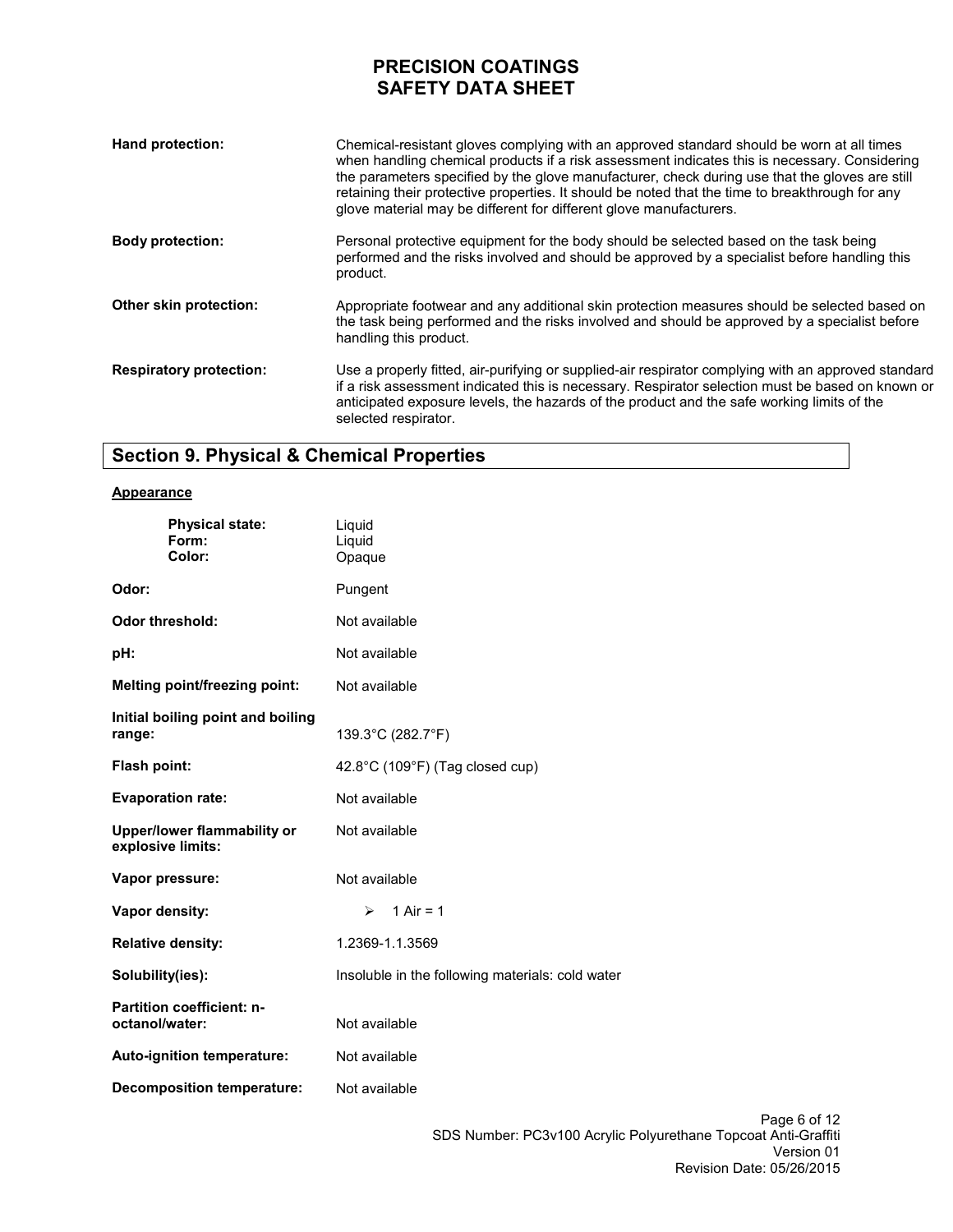| Hand protection:               | Chemical-resistant gloves complying with an approved standard should be worn at all times<br>when handling chemical products if a risk assessment indicates this is necessary. Considering<br>the parameters specified by the glove manufacturer, check during use that the gloves are still<br>retaining their protective properties. It should be noted that the time to breakthrough for any<br>glove material may be different for different glove manufacturers. |
|--------------------------------|-----------------------------------------------------------------------------------------------------------------------------------------------------------------------------------------------------------------------------------------------------------------------------------------------------------------------------------------------------------------------------------------------------------------------------------------------------------------------|
| <b>Body protection:</b>        | Personal protective equipment for the body should be selected based on the task being<br>performed and the risks involved and should be approved by a specialist before handling this<br>product.                                                                                                                                                                                                                                                                     |
| Other skin protection:         | Appropriate footwear and any additional skin protection measures should be selected based on<br>the task being performed and the risks involved and should be approved by a specialist before<br>handling this product.                                                                                                                                                                                                                                               |
| <b>Respiratory protection:</b> | Use a properly fitted, air-purifying or supplied-air respirator complying with an approved standard<br>if a risk assessment indicated this is necessary. Respirator selection must be based on known or<br>anticipated exposure levels, the hazards of the product and the safe working limits of the<br>selected respirator.                                                                                                                                         |

# **Section 9. Physical & Chemical Properties**

#### **Appearance**

| <b>Physical state:</b><br>Form:<br>Color:               | Liquid<br>Liquid<br>Opaque                       |  |
|---------------------------------------------------------|--------------------------------------------------|--|
| Odor:                                                   | Pungent                                          |  |
| <b>Odor threshold:</b>                                  | Not available                                    |  |
| pH:                                                     | Not available                                    |  |
| Melting point/freezing point:                           | Not available                                    |  |
| Initial boiling point and boiling<br>range:             | 139.3°C (282.7°F)                                |  |
| Flash point:                                            | 42.8°C (109°F) (Tag closed cup)                  |  |
| <b>Evaporation rate:</b>                                | Not available                                    |  |
| <b>Upper/lower flammability or</b><br>explosive limits: | Not available                                    |  |
| Vapor pressure:                                         | Not available                                    |  |
| Vapor density:                                          | 1 Air = $1$<br>➤                                 |  |
| <b>Relative density:</b>                                | 1.2369-1.1.3569                                  |  |
| Solubility(ies):                                        | Insoluble in the following materials: cold water |  |
| <b>Partition coefficient: n-</b><br>octanol/water:      | Not available                                    |  |
| Auto-ignition temperature:                              | Not available                                    |  |
| <b>Decomposition temperature:</b>                       | Not available                                    |  |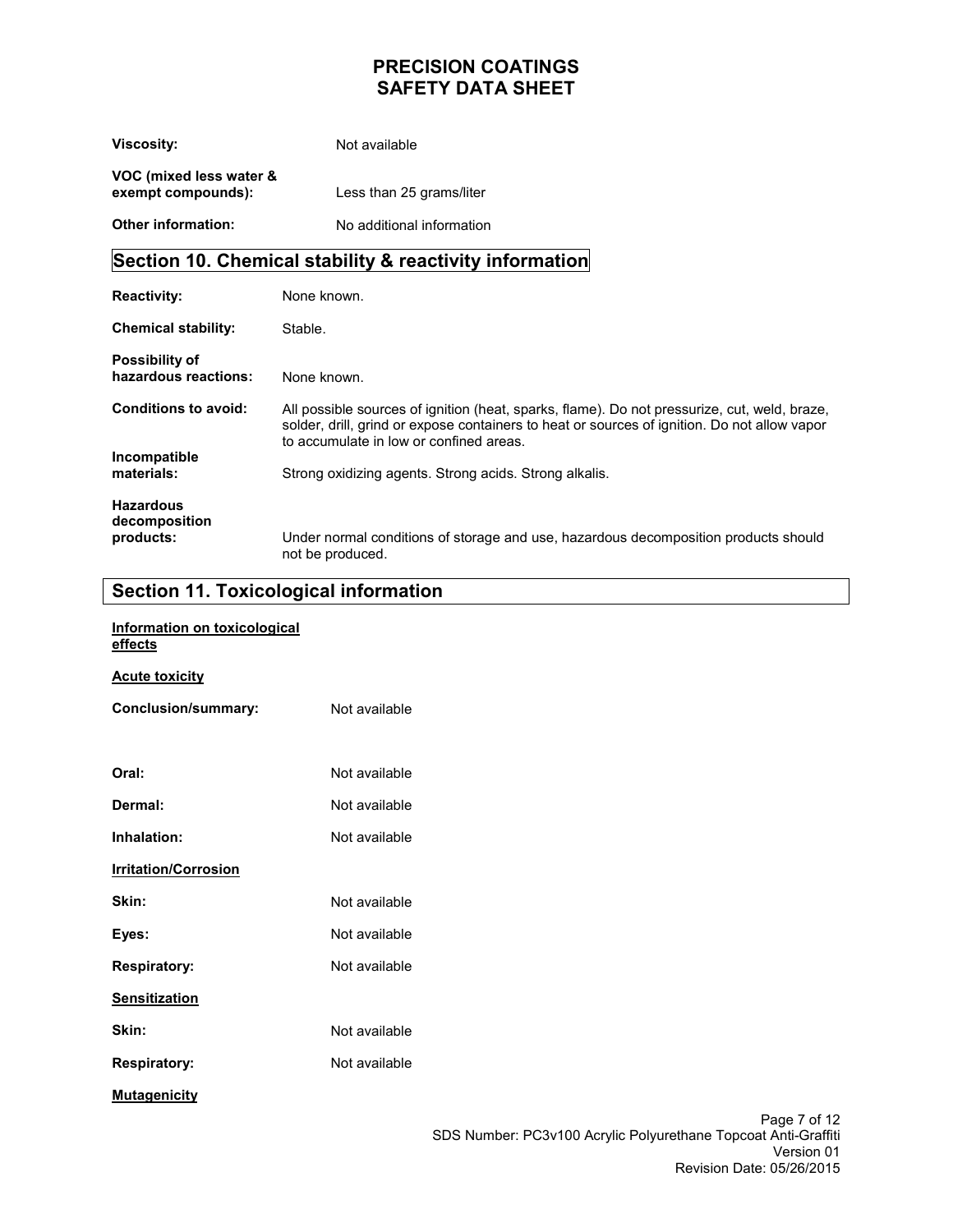| <b>Viscosity:</b>                             | Not available             |
|-----------------------------------------------|---------------------------|
| VOC (mixed less water &<br>exempt compounds): | Less than 25 grams/liter  |
| <b>Other information:</b>                     | No additional information |

# **Section 10. Chemical stability & reactivity information**

| <b>Reactivity:</b>                            | None known.                                                                                                                                                                                                                             |
|-----------------------------------------------|-----------------------------------------------------------------------------------------------------------------------------------------------------------------------------------------------------------------------------------------|
| <b>Chemical stability:</b>                    | Stable.                                                                                                                                                                                                                                 |
| <b>Possibility of</b><br>hazardous reactions: | None known.                                                                                                                                                                                                                             |
| Conditions to avoid:                          | All possible sources of ignition (heat, sparks, flame). Do not pressurize, cut, weld, braze,<br>solder, drill, grind or expose containers to heat or sources of ignition. Do not allow vapor<br>to accumulate in low or confined areas. |
| Incompatible                                  |                                                                                                                                                                                                                                         |
| materials:                                    | Strong oxidizing agents. Strong acids. Strong alkalis.                                                                                                                                                                                  |
| <b>Hazardous</b><br>decomposition             |                                                                                                                                                                                                                                         |
| products:                                     | Under normal conditions of storage and use, hazardous decomposition products should<br>not be produced.                                                                                                                                 |

# **Section 11. Toxicological information**

| Information on toxicological<br>effects |               |    |
|-----------------------------------------|---------------|----|
| <b>Acute toxicity</b>                   |               |    |
| Conclusion/summary:                     | Not available |    |
|                                         |               |    |
| Oral:                                   | Not available |    |
| Dermal:                                 | Not available |    |
| Inhalation:                             | Not available |    |
| <b>Irritation/Corrosion</b>             |               |    |
| Skin:                                   | Not available |    |
| Eyes:                                   | Not available |    |
| <b>Respiratory:</b>                     | Not available |    |
| <b>Sensitization</b>                    |               |    |
| Skin:                                   | Not available |    |
| <b>Respiratory:</b>                     | Not available |    |
| <b>Mutagenicity</b>                     |               |    |
|                                         |               | Pa |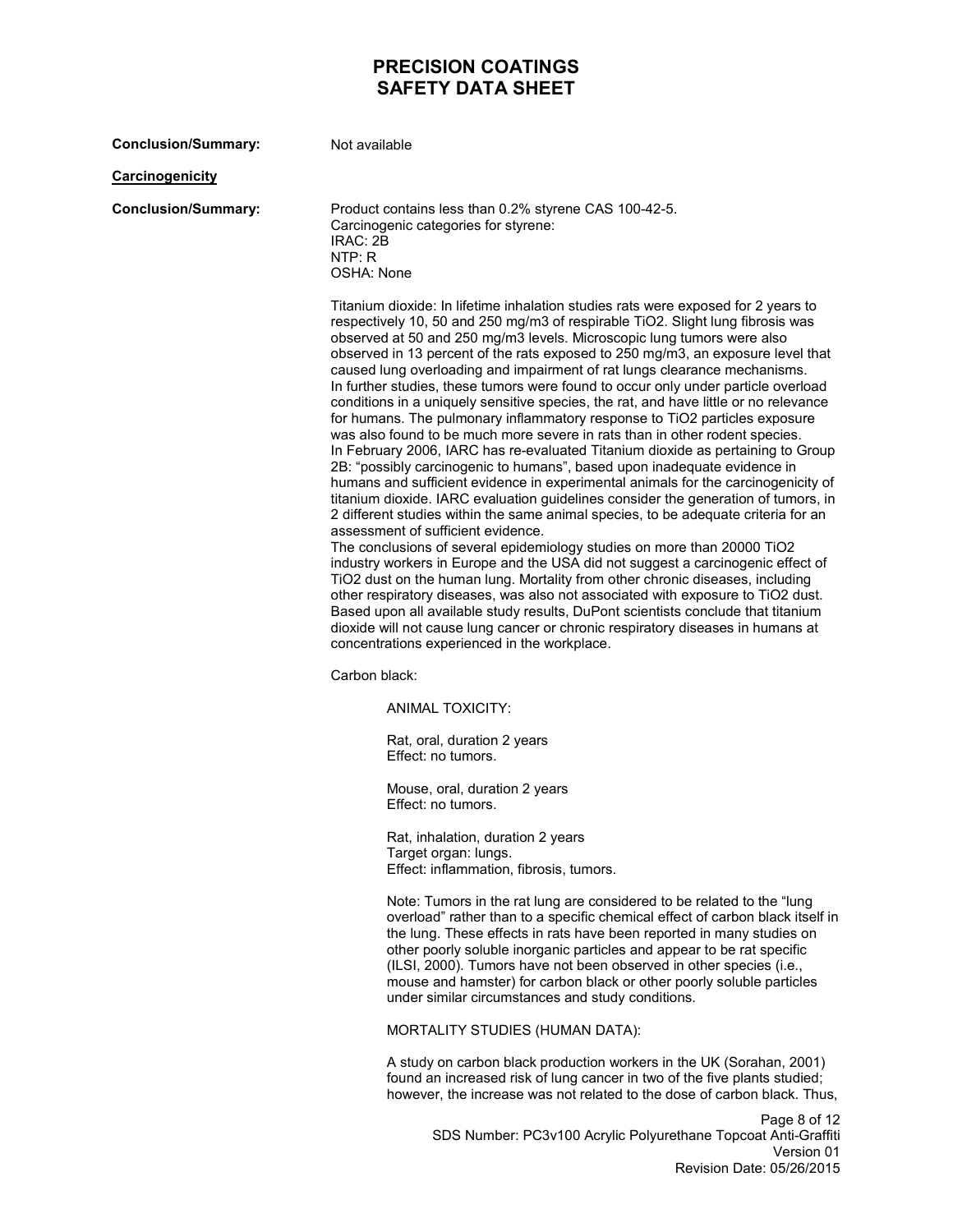| <b>Conclusion/Summary:</b> | Not available                                                                                                                                                                                                                                                                                                                                                                                                                                                                                                                                                                                                                                                                                                                                                                                                                                                                                                                                                                                                                                                                                                                                                                                                                                                                                                                                                                                                                                                                                                                                                                                                                                                                                                                                                                                           |
|----------------------------|---------------------------------------------------------------------------------------------------------------------------------------------------------------------------------------------------------------------------------------------------------------------------------------------------------------------------------------------------------------------------------------------------------------------------------------------------------------------------------------------------------------------------------------------------------------------------------------------------------------------------------------------------------------------------------------------------------------------------------------------------------------------------------------------------------------------------------------------------------------------------------------------------------------------------------------------------------------------------------------------------------------------------------------------------------------------------------------------------------------------------------------------------------------------------------------------------------------------------------------------------------------------------------------------------------------------------------------------------------------------------------------------------------------------------------------------------------------------------------------------------------------------------------------------------------------------------------------------------------------------------------------------------------------------------------------------------------------------------------------------------------------------------------------------------------|
| <b>Carcinogenicity</b>     |                                                                                                                                                                                                                                                                                                                                                                                                                                                                                                                                                                                                                                                                                                                                                                                                                                                                                                                                                                                                                                                                                                                                                                                                                                                                                                                                                                                                                                                                                                                                                                                                                                                                                                                                                                                                         |
| <b>Conclusion/Summary:</b> | Product contains less than 0.2% styrene CAS 100-42-5.<br>Carcinogenic categories for styrene:<br>IRAC: 2B<br>NTP: R<br>OSHA: None                                                                                                                                                                                                                                                                                                                                                                                                                                                                                                                                                                                                                                                                                                                                                                                                                                                                                                                                                                                                                                                                                                                                                                                                                                                                                                                                                                                                                                                                                                                                                                                                                                                                       |
|                            | Titanium dioxide: In lifetime inhalation studies rats were exposed for 2 years to<br>respectively 10, 50 and 250 mg/m3 of respirable TiO2. Slight lung fibrosis was<br>observed at 50 and 250 mg/m3 levels. Microscopic lung tumors were also<br>observed in 13 percent of the rats exposed to 250 mg/m3, an exposure level that<br>caused lung overloading and impairment of rat lungs clearance mechanisms.<br>In further studies, these tumors were found to occur only under particle overload<br>conditions in a uniquely sensitive species, the rat, and have little or no relevance<br>for humans. The pulmonary inflammatory response to TiO2 particles exposure<br>was also found to be much more severe in rats than in other rodent species.<br>In February 2006, IARC has re-evaluated Titanium dioxide as pertaining to Group<br>2B: "possibly carcinogenic to humans", based upon inadequate evidence in<br>humans and sufficient evidence in experimental animals for the carcinogenicity of<br>titanium dioxide. IARC evaluation guidelines consider the generation of tumors, in<br>2 different studies within the same animal species, to be adequate criteria for an<br>assessment of sufficient evidence.<br>The conclusions of several epidemiology studies on more than 20000 TiO2<br>industry workers in Europe and the USA did not suggest a carcinogenic effect of<br>TiO2 dust on the human lung. Mortality from other chronic diseases, including<br>other respiratory diseases, was also not associated with exposure to TiO2 dust.<br>Based upon all available study results, DuPont scientists conclude that titanium<br>dioxide will not cause lung cancer or chronic respiratory diseases in humans at<br>concentrations experienced in the workplace.<br>Carbon black: |
|                            | ANIMAL TOXICITY:                                                                                                                                                                                                                                                                                                                                                                                                                                                                                                                                                                                                                                                                                                                                                                                                                                                                                                                                                                                                                                                                                                                                                                                                                                                                                                                                                                                                                                                                                                                                                                                                                                                                                                                                                                                        |
|                            | Rat, oral, duration 2 years<br>Effect: no tumors.                                                                                                                                                                                                                                                                                                                                                                                                                                                                                                                                                                                                                                                                                                                                                                                                                                                                                                                                                                                                                                                                                                                                                                                                                                                                                                                                                                                                                                                                                                                                                                                                                                                                                                                                                       |
|                            | Mouse, oral, duration 2 years<br>Effect: no tumors.                                                                                                                                                                                                                                                                                                                                                                                                                                                                                                                                                                                                                                                                                                                                                                                                                                                                                                                                                                                                                                                                                                                                                                                                                                                                                                                                                                                                                                                                                                                                                                                                                                                                                                                                                     |
|                            | Rat, inhalation, duration 2 years<br>Target organ: lungs.<br>Effect: inflammation, fibrosis, tumors.                                                                                                                                                                                                                                                                                                                                                                                                                                                                                                                                                                                                                                                                                                                                                                                                                                                                                                                                                                                                                                                                                                                                                                                                                                                                                                                                                                                                                                                                                                                                                                                                                                                                                                    |
|                            | Note: Tumors in the rat lung are considered to be related to the "lung<br>overload" rather than to a specific chemical effect of carbon black itself in<br>the lung. These effects in rats have been reported in many studies on<br>other poorly soluble inorganic particles and appear to be rat specific<br>(ILSI, 2000). Tumors have not been observed in other species (i.e.,<br>mouse and hamster) for carbon black or other poorly soluble particles<br>under similar circumstances and study conditions.                                                                                                                                                                                                                                                                                                                                                                                                                                                                                                                                                                                                                                                                                                                                                                                                                                                                                                                                                                                                                                                                                                                                                                                                                                                                                         |
|                            | MORTALITY STUDIES (HUMAN DATA):                                                                                                                                                                                                                                                                                                                                                                                                                                                                                                                                                                                                                                                                                                                                                                                                                                                                                                                                                                                                                                                                                                                                                                                                                                                                                                                                                                                                                                                                                                                                                                                                                                                                                                                                                                         |
|                            | A study on carbon black production workers in the UK (Sorahan, 2001)<br>found an increased risk of lung cancer in two of the five plants studied;<br>however, the increase was not related to the dose of carbon black. Thus,                                                                                                                                                                                                                                                                                                                                                                                                                                                                                                                                                                                                                                                                                                                                                                                                                                                                                                                                                                                                                                                                                                                                                                                                                                                                                                                                                                                                                                                                                                                                                                           |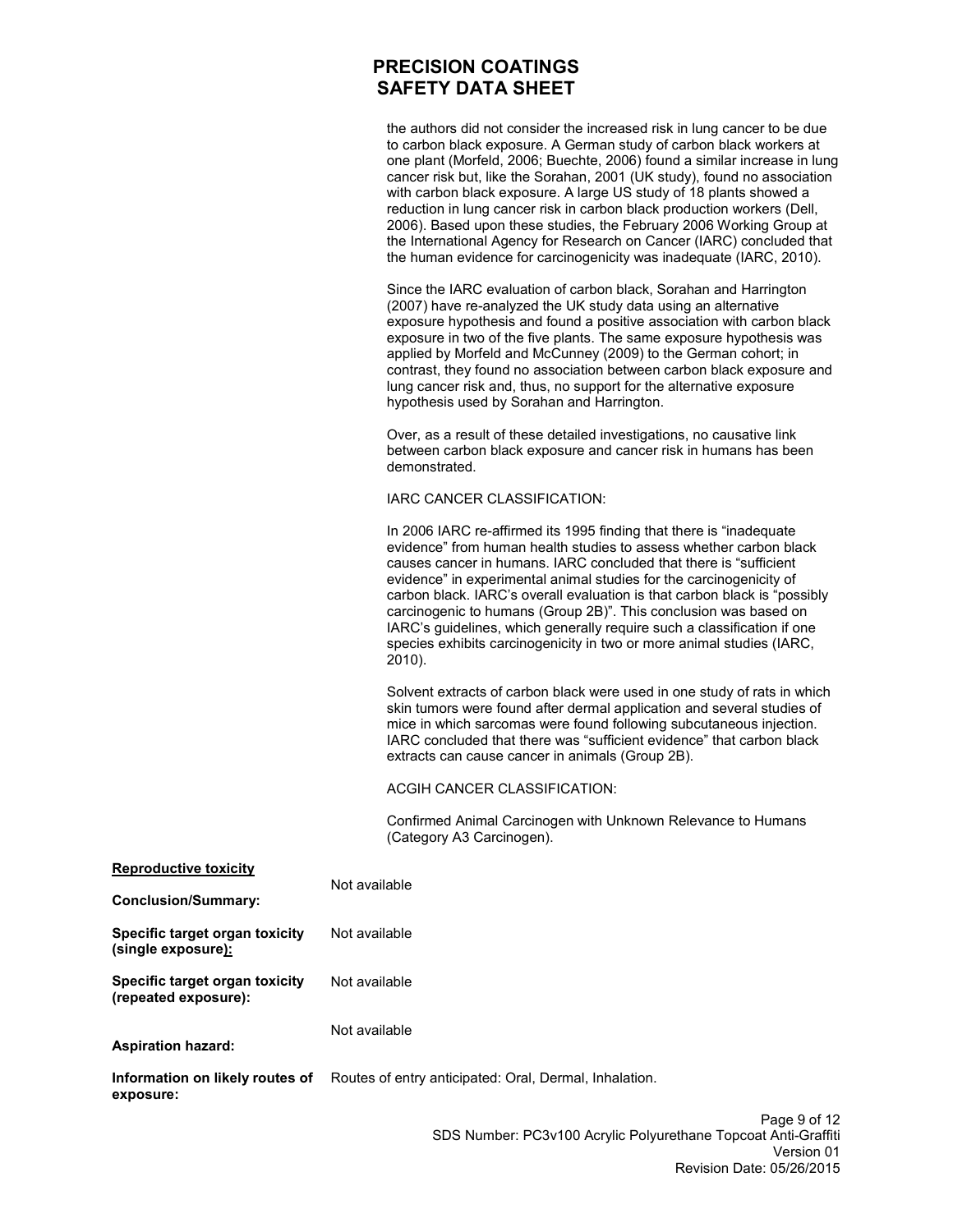the authors did not consider the increased risk in lung cancer to be due to carbon black exposure. A German study of carbon black workers at one plant (Morfeld, 2006; Buechte, 2006) found a similar increase in lung cancer risk but, like the Sorahan, 2001 (UK study), found no association with carbon black exposure. A large US study of 18 plants showed a reduction in lung cancer risk in carbon black production workers (Dell, 2006). Based upon these studies, the February 2006 Working Group at the International Agency for Research on Cancer (IARC) concluded that the human evidence for carcinogenicity was inadequate (IARC, 2010).

Since the IARC evaluation of carbon black, Sorahan and Harrington (2007) have re-analyzed the UK study data using an alternative exposure hypothesis and found a positive association with carbon black exposure in two of the five plants. The same exposure hypothesis was applied by Morfeld and McCunney (2009) to the German cohort; in contrast, they found no association between carbon black exposure and lung cancer risk and, thus, no support for the alternative exposure hypothesis used by Sorahan and Harrington.

Over, as a result of these detailed investigations, no causative link between carbon black exposure and cancer risk in humans has been demonstrated.

IARC CANCER CLASSIFICATION:

In 2006 IARC re-affirmed its 1995 finding that there is "inadequate evidence" from human health studies to assess whether carbon black causes cancer in humans. IARC concluded that there is "sufficient evidence" in experimental animal studies for the carcinogenicity of carbon black. IARC's overall evaluation is that carbon black is "possibly carcinogenic to humans (Group 2B)". This conclusion was based on IARC's guidelines, which generally require such a classification if one species exhibits carcinogenicity in two or more animal studies (IARC, 2010).

Solvent extracts of carbon black were used in one study of rats in which skin tumors were found after dermal application and several studies of mice in which sarcomas were found following subcutaneous injection. IARC concluded that there was "sufficient evidence" that carbon black extracts can cause cancer in animals (Group 2B).

ACGIH CANCER CLASSIFICATION:

Confirmed Animal Carcinogen with Unknown Relevance to Humans (Category A3 Carcinogen).

| <u>Reproductive toxicity</u>                                 | Not available                                          |        |
|--------------------------------------------------------------|--------------------------------------------------------|--------|
| <b>Conclusion/Summary:</b>                                   |                                                        |        |
| Specific target organ toxicity<br>(single exposure <u>):</u> | Not available                                          |        |
| Specific target organ toxicity<br>(repeated exposure):       | Not available                                          |        |
| <b>Aspiration hazard:</b>                                    | Not available                                          |        |
| Information on likely routes of<br>exposure:                 | Routes of entry anticipated: Oral, Dermal, Inhalation. |        |
|                                                              |                                                        | Dane Q |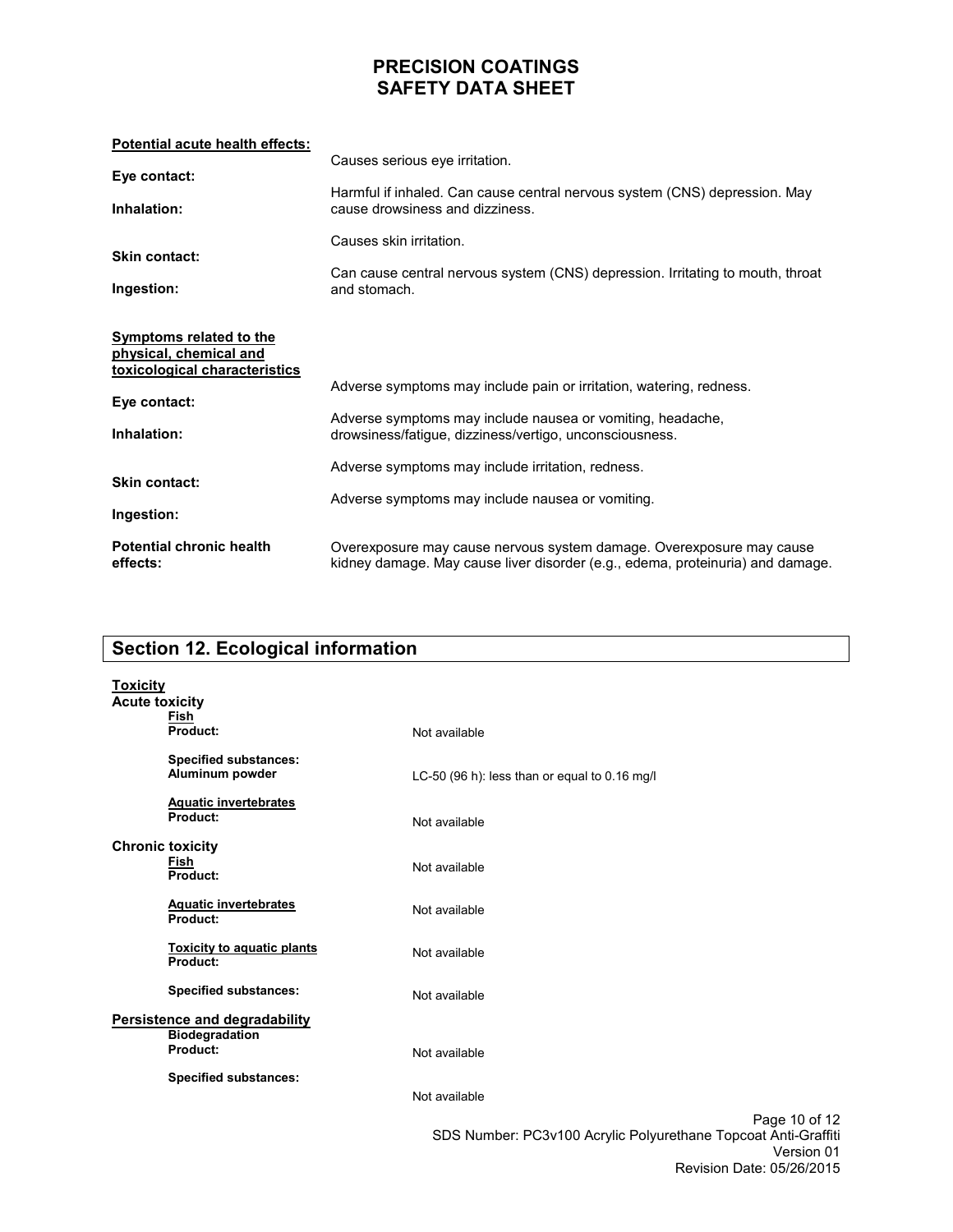| Potential acute health effects:                                                           |                                                                                                                                                        |
|-------------------------------------------------------------------------------------------|--------------------------------------------------------------------------------------------------------------------------------------------------------|
| Eye contact:                                                                              | Causes serious eye irritation.                                                                                                                         |
| Inhalation:                                                                               | Harmful if inhaled. Can cause central nervous system (CNS) depression. May<br>cause drowsiness and dizziness.                                          |
| <b>Skin contact:</b>                                                                      | Causes skin irritation.                                                                                                                                |
| Ingestion:                                                                                | Can cause central nervous system (CNS) depression. Irritating to mouth, throat<br>and stomach.                                                         |
| <b>Symptoms related to the</b><br>physical, chemical and<br>toxicological characteristics | Adverse symptoms may include pain or irritation, watering, redness.                                                                                    |
| Eye contact:<br>Inhalation:                                                               | Adverse symptoms may include nausea or vomiting, headache,<br>drowsiness/fatigue, dizziness/vertigo, unconsciousness.                                  |
| <b>Skin contact:</b><br>Ingestion:                                                        | Adverse symptoms may include irritation, redness.<br>Adverse symptoms may include nausea or vomiting.                                                  |
| <b>Potential chronic health</b><br>effects:                                               | Overexposure may cause nervous system damage. Overexposure may cause<br>kidney damage. May cause liver disorder (e.g., edema, proteinuria) and damage. |

# **Section 12. Ecological information**

| <b>Toxicity</b><br><b>Acute toxicity</b> | Fish                                                               |                                                                                               |
|------------------------------------------|--------------------------------------------------------------------|-----------------------------------------------------------------------------------------------|
|                                          | Product:                                                           | Not available                                                                                 |
|                                          | <b>Specified substances:</b><br>Aluminum powder                    | LC-50 (96 h): less than or equal to 0.16 mg/l                                                 |
|                                          | <b>Aquatic invertebrates</b><br>Product:                           | Not available                                                                                 |
|                                          | <b>Chronic toxicity</b><br>Fish<br>Product:                        | Not available                                                                                 |
|                                          | <b>Aquatic invertebrates</b><br>Product:                           | Not available                                                                                 |
|                                          | <b>Toxicity to aquatic plants</b><br>Product:                      | Not available                                                                                 |
|                                          | <b>Specified substances:</b>                                       | Not available                                                                                 |
|                                          | Persistence and degradability<br><b>Biodegradation</b><br>Product: | Not available                                                                                 |
|                                          | <b>Specified substances:</b>                                       |                                                                                               |
|                                          |                                                                    | Not available                                                                                 |
|                                          |                                                                    | Page 10 of 12<br>SDS Number: PC3v100 Acrylic Polyurethane Topcoat Anti-Graffiti<br>Version 01 |

Revision Date: 05/26/2015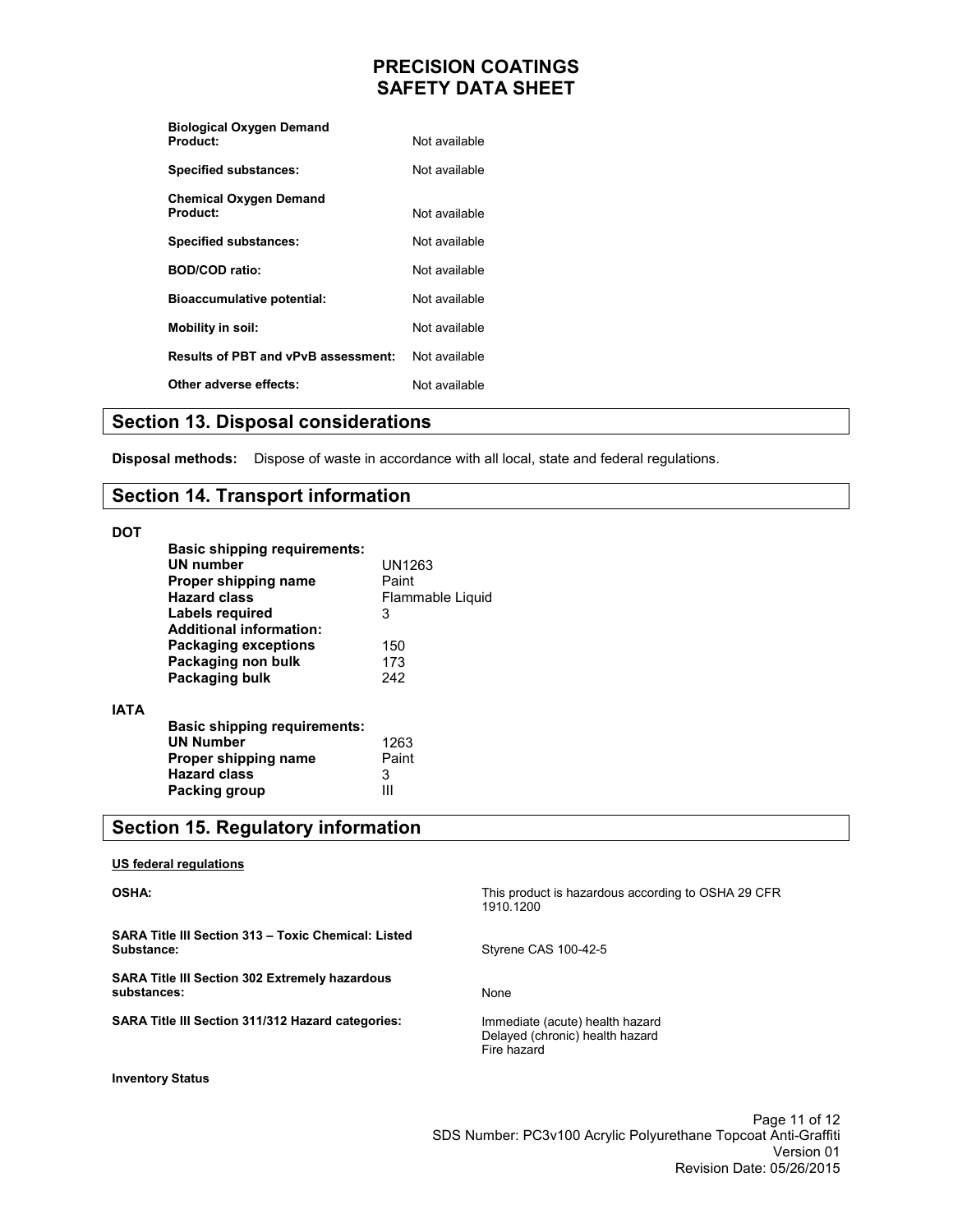| <b>Biological Oxygen Demand</b>            |               |
|--------------------------------------------|---------------|
| Product:                                   | Not available |
| <b>Specified substances:</b>               | Not available |
| <b>Chemical Oxygen Demand</b>              |               |
| Product:                                   | Not available |
| <b>Specified substances:</b>               | Not available |
| <b>BOD/COD ratio:</b>                      | Not available |
| <b>Bioaccumulative potential:</b>          | Not available |
| Mobility in soil:                          | Not available |
| <b>Results of PBT and vPvB assessment:</b> | Not available |
| Other adverse effects:                     | Not available |

### **Section 13. Disposal considerations**

**Disposal methods:** Dispose of waste in accordance with all local, state and federal regulations.

#### **Section 14. Transport information**

#### **DOT**

**IATA** 

| <b>Basic shipping requirements:</b><br>UN number | UN1263           |
|--------------------------------------------------|------------------|
| Proper shipping name                             | Paint            |
| <b>Hazard class</b>                              | Flammable Liquid |
| Labels required                                  | 3                |
| <b>Additional information:</b>                   |                  |
| <b>Packaging exceptions</b>                      | 150              |
| Packaging non bulk                               | 173              |
| Packaging bulk                                   | 242              |
|                                                  |                  |
| <b>Basic shipping requirements:</b>              |                  |
| <b>UN Number</b>                                 | 1263             |
| Proper shipping name                             | Paint            |
| <b>Hazard class</b>                              | 3                |
| Packing group                                    |                  |

# **Section 15. Regulatory information**

#### **US federal regulations**

**OSHA:** 

**SARA Title III Section 313 – Toxic Chemical: Listed Substance:** 

**SARA Title III Section 302 Extremely hazardous substances:** 

**SARA Title III Section 311/312 Hazard categories:** 

Styrene CAS 100-42-5 None

Immediate (acute) health hazard Delayed (chronic) health hazard Fire hazard

1910.1200

**Inventory Status**

Page 11 of 12 SDS Number: PC3v100 Acrylic Polyurethane Topcoat Anti-Graffiti Version 01 Revision Date: 05/26/2015

This product is hazardous according to OSHA 29 CFR